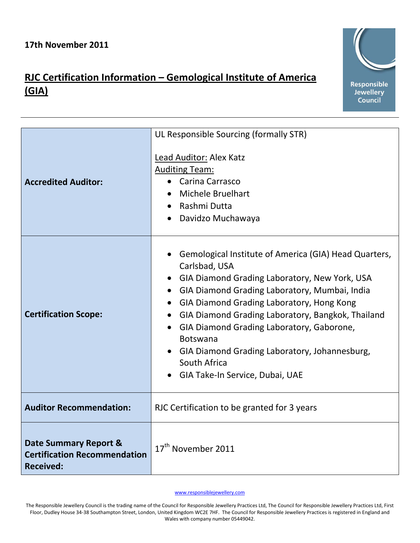## **RJC Certification Information – Gemological Institute of America (GIA)**



[www.responsiblejewellery.com](http://www.responsiblejewellery.com/)

The Responsible Jewellery Council is the trading name of the Council for Responsible Jewellery Practices Ltd, The Council for Responsible Jewellery Practices Ltd, First Floor, Dudley House 34-38 Southampton Street, London, United Kingdom WC2E 7HF. The Council for Responsible Jewellery Practices is registered in England and Wales with company number 05449042.

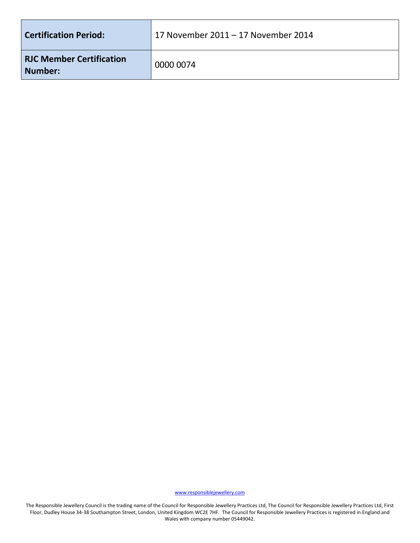| <b>Certification Period:</b>               | 17 November 2011 – 17 November 2014 |
|--------------------------------------------|-------------------------------------|
| <b>RJC Member Certification</b><br>Number: | 0000 0074                           |

[www.responsiblejewellery.com](http://www.responsiblejewellery.com/)

The Responsible Jewellery Council is the trading name of the Council for Responsible Jewellery Practices Ltd, The Council for Responsible Jewellery Practices Ltd, First Floor, Dudley House 34-38 Southampton Street, London, United Kingdom WC2E 7HF. The Council for Responsible Jewellery Practices is registered in England and Wales with company number 05449042.